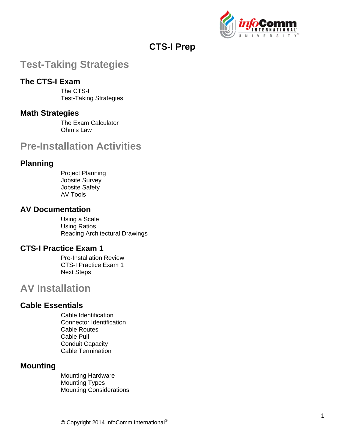

## **CTS-I Prep**

# **Test-Taking Strategies**

## **The CTS-I Exam**

The CTS-I Test-Taking Strategies

### **Math Strategies**

The Exam Calculator Ohm's Law

# **Pre-Installation Activities**

## **Planning**

Project Planning Jobsite Survey Jobsite Safety AV Tools

### **AV Documentation**

Using a Scale Using Ratios Reading Architectural Drawings

### **CTS-I Practice Exam 1**

Pre-Installation Review CTS-I Practice Exam 1 Next Steps

## **AV Installation**

## **Cable Essentials**

Cable Identification Connector Identification Cable Routes Cable Pull Conduit Capacity Cable Termination

## **Mounting**

Mounting Hardware Mounting Types Mounting Considerations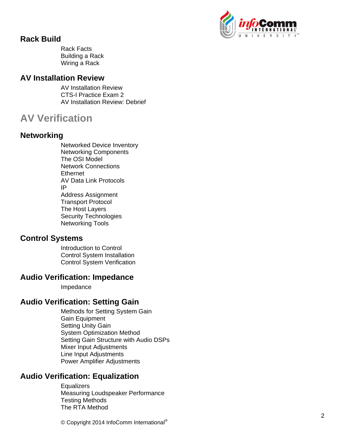

### **Rack Build**

Rack Facts Building a Rack Wiring a Rack

#### **AV Installation Review**

AV Installation Review CTS-I Practice Exam 2 AV Installation Review: Debrief

# **AV Verification**

## **Networking**

Networked Device Inventory Networking Components The OSI Model Network Connections **Ethernet** AV Data Link Protocols IP Address Assignment Transport Protocol The Host Layers Security Technologies Networking Tools

### **Control Systems**

Introduction to Control Control System Installation Control System Verification

### **Audio Verification: Impedance**

Impedance

## **Audio Verification: Setting Gain**

Methods for Setting System Gain Gain Equipment Setting Unity Gain System Optimization Method Setting Gain Structure with Audio DSPs Mixer Input Adjustments Line Input Adjustments Power Amplifier Adjustments

## **Audio Verification: Equalization**

**Equalizers** Measuring Loudspeaker Performance Testing Methods The RTA Method

© Copyright 2014 InfoComm International®